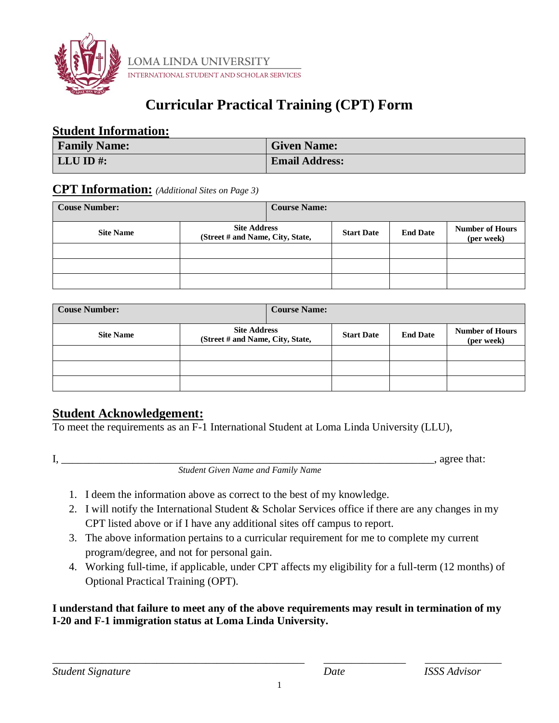

**LOMA LINDA UNIVERSITY**<br>international student and scholar services

## **Curricular Practical Training (CPT) Form**

#### **Student Information:**

| <b>Family Name:</b> | <b>Given Name:</b>    |
|---------------------|-----------------------|
| LLU ID#:            | <b>Email Address:</b> |

### **CPT Information:** *(Additional Sites on Page 3)*

| <b>Couse Number:</b> |                                                         | <b>Course Name:</b> |                   |                 |                                      |
|----------------------|---------------------------------------------------------|---------------------|-------------------|-----------------|--------------------------------------|
| <b>Site Name</b>     | <b>Site Address</b><br>(Street # and Name, City, State, |                     | <b>Start Date</b> | <b>End Date</b> | <b>Number of Hours</b><br>(per week) |
|                      |                                                         |                     |                   |                 |                                      |
|                      |                                                         |                     |                   |                 |                                      |
|                      |                                                         |                     |                   |                 |                                      |

| <b>Couse Number:</b> | <b>Course Name:</b>                                     |                   |                 |                                      |
|----------------------|---------------------------------------------------------|-------------------|-----------------|--------------------------------------|
| <b>Site Name</b>     | <b>Site Address</b><br>(Street # and Name, City, State, | <b>Start Date</b> | <b>End Date</b> | <b>Number of Hours</b><br>(per week) |
|                      |                                                         |                   |                 |                                      |
|                      |                                                         |                   |                 |                                      |
|                      |                                                         |                   |                 |                                      |

## **Student Acknowledgement:**

To meet the requirements as an F-1 International Student at Loma Linda University (LLU),

 $I,$  agree that:

*Student Given Name and Family Name*

- 1. I deem the information above as correct to the best of my knowledge.
- 2. I will notify the International Student & Scholar Services office if there are any changes in my CPT listed above or if I have any additional sites off campus to report.
- 3. The above information pertains to a curricular requirement for me to complete my current program/degree, and not for personal gain.
- 4. Working full-time, if applicable, under CPT affects my eligibility for a full-term (12 months) of Optional Practical Training (OPT).

#### **I understand that failure to meet any of the above requirements may result in termination of my I-20 and F-1 immigration status at Loma Linda University.**

\_\_\_\_\_\_\_\_\_\_\_\_\_\_\_\_\_\_\_\_\_\_\_\_\_\_\_\_\_\_\_\_\_\_\_\_\_\_\_\_\_\_\_\_\_\_ \_\_\_\_\_\_\_\_\_\_\_\_\_\_\_ \_\_\_\_\_\_\_\_\_\_\_\_\_\_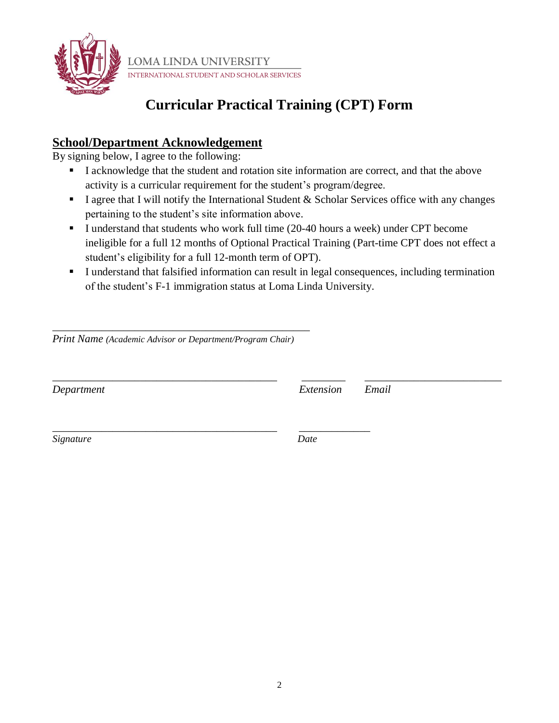

**LOMA LINDA UNIVERSITY** STUDENT AND SCHOLAR SERVICES **INTERNATIONAL** 

# **Curricular Practical Training (CPT) Form**

## **School/Department Acknowledgement**

By signing below, I agree to the following:

- I acknowledge that the student and rotation site information are correct, and that the above activity is a curricular requirement for the student's program/degree.
- **I** I agree that I will notify the International Student & Scholar Services office with any changes pertaining to the student's site information above.
- **I** understand that students who work full time (20-40 hours a week) under CPT become ineligible for a full 12 months of Optional Practical Training (Part-time CPT does not effect a student's eligibility for a full 12-month term of OPT).
- I understand that falsified information can result in legal consequences, including termination of the student's F-1 immigration status at Loma Linda University.

\_\_\_\_\_\_\_\_\_\_\_\_\_\_\_\_\_\_\_\_\_\_\_\_\_\_\_\_\_\_\_\_\_\_\_\_\_\_\_\_\_\_\_\_\_\_\_\_\_ \_\_\_\_\_\_\_\_\_\_\_\_\_\_\_\_\_\_\_\_\_\_\_\_\_

*Print Name (Academic Advisor or Department/Program Chair)*

\_\_\_\_\_\_\_\_\_\_\_\_\_\_\_\_\_\_\_\_\_\_\_\_\_\_\_\_\_\_\_\_\_\_\_\_\_\_\_\_\_\_\_\_\_\_\_

\_\_\_\_\_\_\_\_\_\_\_\_\_\_\_\_\_\_\_\_\_\_\_\_\_\_\_\_\_\_\_\_\_\_\_\_\_\_\_\_\_ \_\_\_\_\_\_\_\_\_\_\_\_\_

*Department Extension Email*

*Signature Date*